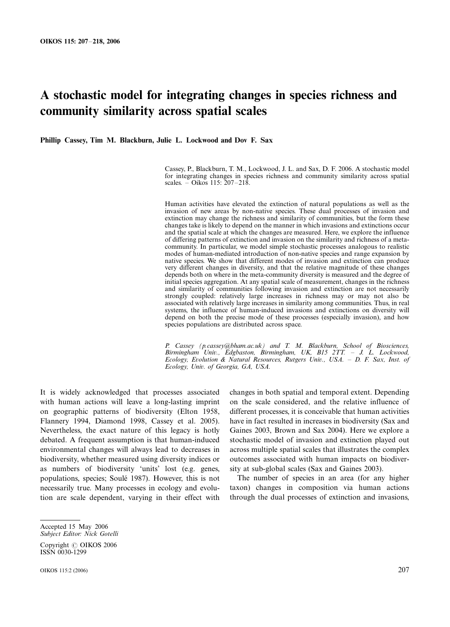# A stochastic model for integrating changes in species richness and community similarity across spatial scales

Phillip Cassey, Tim M. Blackburn, Julie L. Lockwood and Dov F. Sax

Cassey, P., Blackburn, T. M., Lockwood, J. L. and Sax, D. F. 2006. A stochastic model for integrating changes in species richness and community similarity across spatial scales. – Oikos 115:  $207 - 218$ .

Human activities have elevated the extinction of natural populations as well as the invasion of new areas by non-native species. These dual processes of invasion and extinction may change the richness and similarity of communities, but the form these changes take is likely to depend on the manner in which invasions and extinctions occur and the spatial scale at which the changes are measured. Here, we explore the influence of differing patterns of extinction and invasion on the similarity and richness of a metacommunity. In particular, we model simple stochastic processes analogous to realistic modes of human-mediated introduction of non-native species and range expansion by native species. We show that different modes of invasion and extinction can produce very different changes in diversity, and that the relative magnitude of these changes depends both on where in the meta-community diversity is measured and the degree of initial species aggregation. At any spatial scale of measurement, changes in the richness and similarity of communities following invasion and extinction are not necessarily strongly coupled: relatively large increases in richness may or may not also be associated with relatively large increases in similarity among communities. Thus, in real systems, the influence of human-induced invasions and extinctions on diversity will depend on both the precise mode of these processes (especially invasion), and how species populations are distributed across space.

P. Cassey (p.cassey@bham.ac.uk) and T. M. Blackburn, School of Biosciences, Birmingham Univ., Edgbaston, Birmingham, UK, B15 2TT. - J. L. Lockwood, Ecology, Evolution & Natural Resources, Rutgers Univ., USA. D. F. Sax, Inst. of Ecology, Univ. of Georgia, GA, USA.

It is widely acknowledged that processes associated with human actions will leave a long-lasting imprint on geographic patterns of biodiversity (Elton 1958, Flannery 1994, Diamond 1998, Cassey et al. 2005). Nevertheless, the exact nature of this legacy is hotly debated. A frequent assumption is that human-induced environmental changes will always lead to decreases in biodiversity, whether measured using diversity indices or as numbers of biodiversity 'units' lost (e.g. genes, populations, species; Soule´ 1987). However, this is not necessarily true. Many processes in ecology and evolution are scale dependent, varying in their effect with

changes in both spatial and temporal extent. Depending on the scale considered, and the relative influence of different processes, it is conceivable that human activities have in fact resulted in increases in biodiversity (Sax and Gaines 2003, Brown and Sax 2004). Here we explore a stochastic model of invasion and extinction played out across multiple spatial scales that illustrates the complex outcomes associated with human impacts on biodiversity at sub-global scales (Sax and Gaines 2003).

The number of species in an area (for any higher taxon) changes in composition via human actions through the dual processes of extinction and invasions,

Accepted 15 May 2006 Subject Editor: Nick Gotelli

Copyright © OIKOS 2006 ISSN 0030-1299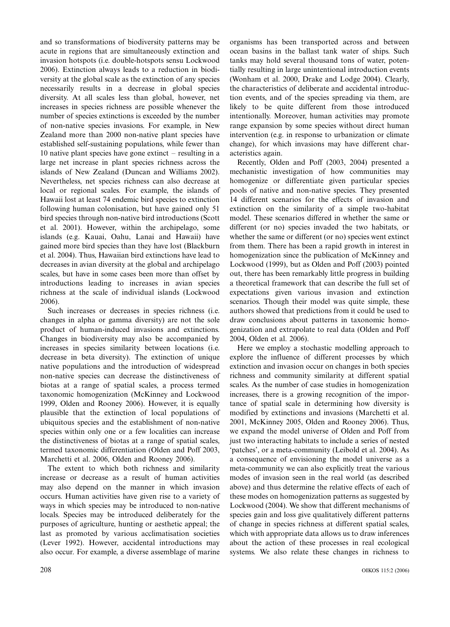and so transformations of biodiversity patterns may be acute in regions that are simultaneously extinction and invasion hotspots (i.e. double-hotspots sensu Lockwood 2006). Extinction always leads to a reduction in biodiversity at the global scale as the extinction of any species necessarily results in a decrease in global species diversity. At all scales less than global, however, net increases in species richness are possible whenever the number of species extinctions is exceeded by the number of non-native species invasions. For example, in New Zealand more than 2000 non-native plant species have established self-sustaining populations, while fewer than 10 native plant species have gone extinct  $-$  resulting in a large net increase in plant species richness across the islands of New Zealand (Duncan and Williams 2002). Nevertheless, net species richness can also decrease at local or regional scales. For example, the islands of Hawaii lost at least 74 endemic bird species to extinction following human colonisation, but have gained only 51 bird species through non-native bird introductions (Scott et al. 2001). However, within the archipelago, some islands (e.g. Kauai, Oahu, Lanai and Hawaii) have gained more bird species than they have lost (Blackburn et al. 2004). Thus, Hawaiian bird extinctions have lead to decreases in avian diversity at the global and archipelago scales, but have in some cases been more than offset by introductions leading to increases in avian species richness at the scale of individual islands (Lockwood 2006).

Such increases or decreases in species richness (i.e. changes in alpha or gamma diversity) are not the sole product of human-induced invasions and extinctions. Changes in biodiversity may also be accompanied by increases in species similarity between locations (i.e. decrease in beta diversity). The extinction of unique native populations and the introduction of widespread non-native species can decrease the distinctiveness of biotas at a range of spatial scales, a process termed taxonomic homogenization (McKinney and Lockwood 1999, Olden and Rooney 2006). However, it is equally plausible that the extinction of local populations of ubiquitous species and the establishment of non-native species within only one or a few localities can increase the distinctiveness of biotas at a range of spatial scales, termed taxonomic differentiation (Olden and Poff 2003, Marchetti et al. 2006, Olden and Rooney 2006).

The extent to which both richness and similarity increase or decrease as a result of human activities may also depend on the manner in which invasion occurs. Human activities have given rise to a variety of ways in which species may be introduced to non-native locals. Species may be introduced deliberately for the purposes of agriculture, hunting or aesthetic appeal; the last as promoted by various acclimatisation societies (Lever 1992). However, accidental introductions may also occur. For example, a diverse assemblage of marine organisms has been transported across and between ocean basins in the ballast tank water of ships. Such tanks may hold several thousand tons of water, potentially resulting in large unintentional introduction events (Wonham et al. 2000, Drake and Lodge 2004). Clearly, the characteristics of deliberate and accidental introduction events, and of the species spreading via them, are likely to be quite different from those introduced intentionally. Moreover, human activities may promote range expansion by some species without direct human intervention (e.g. in response to urbanization or climate change), for which invasions may have different characteristics again.

Recently, Olden and Poff (2003, 2004) presented a mechanistic investigation of how communities may homogenize or differentiate given particular species pools of native and non-native species. They presented 14 different scenarios for the effects of invasion and extinction on the similarity of a simple two-habitat model. These scenarios differed in whether the same or different (or no) species invaded the two habitats, or whether the same or different (or no) species went extinct from them. There has been a rapid growth in interest in homogenization since the publication of McKinney and Lockwood (1999), but as Olden and Poff (2003) pointed out, there has been remarkably little progress in building a theoretical framework that can describe the full set of expectations given various invasion and extinction scenarios. Though their model was quite simple, these authors showed that predictions from it could be used to draw conclusions about patterns in taxonomic homogenization and extrapolate to real data (Olden and Poff 2004, Olden et al. 2006).

Here we employ a stochastic modelling approach to explore the influence of different processes by which extinction and invasion occur on changes in both species richness and community similarity at different spatial scales. As the number of case studies in homogenization increases, there is a growing recognition of the importance of spatial scale in determining how diversity is modified by extinctions and invasions (Marchetti et al. 2001, McKinney 2005, Olden and Rooney 2006). Thus, we expand the model universe of Olden and Poff from just two interacting habitats to include a series of nested 'patches', or a meta-community (Leibold et al. 2004). As a consequence of envisioning the model universe as a meta-community we can also explicitly treat the various modes of invasion seen in the real world (as described above) and thus determine the relative effects of each of these modes on homogenization patterns as suggested by Lockwood (2004). We show that different mechanisms of species gain and loss give qualitatively different patterns of change in species richness at different spatial scales, which with appropriate data allows us to draw inferences about the action of these processes in real ecological systems. We also relate these changes in richness to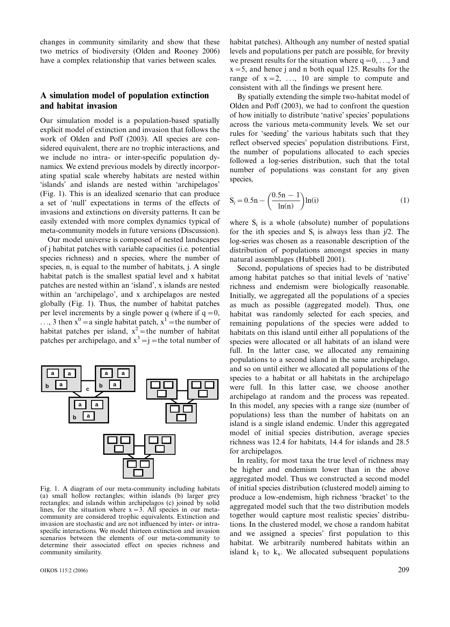changes in community similarity and show that these two metrics of biodiversity (Olden and Rooney 2006) have a complex relationship that varies between scales.

# A simulation model of population extinction and habitat invasion

Our simulation model is a population-based spatially explicit model of extinction and invasion that follows the work of Olden and Poff (2003). All species are considered equivalent, there are no trophic interactions, and we include no intra- or inter-specific population dynamics. We extend previous models by directly incorporating spatial scale whereby habitats are nested within 'islands' and islands are nested within 'archipelagos' (Fig. 1). This is an idealized scenario that can produce a set of 'null' expectations in terms of the effects of invasions and extinctions on diversity patterns. It can be easily extended with more complex dynamics typical of meta-community models in future versions (Discussion).

Our model universe is composed of nested landscapes of j habitat patches with variable capacities (i.e. potential species richness) and n species, where the number of species, n, is equal to the number of habitats, j. A single habitat patch is the smallest spatial level and x habitat patches are nested within an 'island', x islands are nested within an 'archipelago', and x archipelagos are nested globally (Fig. 1). Thus, the number of habitat patches per level increments by a single power q (where if  $q = 0$ ,  $\ldots$ , 3 then  $x^0 = a$  single habitat patch,  $x^1 =$  the number of habitat patches per island,  $x^2$  = the number of habitat patches per archipelago, and  $x^3 = j$  = the total number of



Fig. 1. A diagram of our meta-community including habitats (a) small hollow rectangles; within islands (b) larger grey rectangles; and islands within archipelagos (c) joined by solid lines, for the situation where  $x = 3$ . All species in our metacommunity are considered trophic equivalents. Extinction and invasion are stochastic and are not influenced by inter- or intraspecific interactions. We model thirteen extinction and invasion scenarios between the elements of our meta-community to determine their associated effect on species richness and community similarity.

habitat patches). Although any number of nested spatial levels and populations per patch are possible, for brevity we present results for the situation where  $q = 0, \ldots, 3$  and  $x = 5$ , and hence j and n both equal 125. Results for the range of  $x = 2, \ldots, 10$  are simple to compute and consistent with all the findings we present here.

By spatially extending the simple two-habitat model of Olden and Poff (2003), we had to confront the question of how initially to distribute 'native' species' populations across the various meta-community levels. We set our rules for 'seeding' the various habitats such that they reflect observed species' population distributions. First, the number of populations allocated to each species followed a log-series distribution, such that the total number of populations was constant for any given species,

$$
S_i = 0.5n - \left(\frac{0.5n - 1}{\ln(n)}\right) \ln(i)
$$
 (1)

where  $S_i$  is a whole (absolute) number of populations for the ith species and  $S_i$  is always less than  $i/2$ . The log-series was chosen as a reasonable description of the distribution of populations amongst species in many natural assemblages (Hubbell 2001).

Second, populations of species had to be distributed among habitat patches so that initial levels of 'native' richness and endemism were biologically reasonable. Initially, we aggregated all the populations of a species as much as possible (aggregated model). Thus, one habitat was randomly selected for each species, and remaining populations of the species were added to habitats on this island until either all populations of the species were allocated or all habitats of an island were full. In the latter case, we allocated any remaining populations to a second island in the same archipelago, and so on until either we allocated all populations of the species to a habitat or all habitats in the archipelago were full. In this latter case, we choose another archipelago at random and the process was repeated. In this model, any species with a range size (number of populations) less than the number of habitats on an island is a single island endemic. Under this aggregated model of initial species distribution, average species richness was 12.4 for habitats, 14.4 for islands and 28.5 for archipelagos.

In reality, for most taxa the true level of richness may be higher and endemism lower than in the above aggregated model. Thus we constructed a second model of initial species distribution (clustered model) aiming to produce a low-endemism, high richness 'bracket' to the aggregated model such that the two distribution models together would capture most realistic species' distributions. In the clustered model, we chose a random habitat and we assigned a species' first population to this habitat. We arbitrarily numbered habitats within an island  $k_1$  to  $k_x$ . We allocated subsequent populations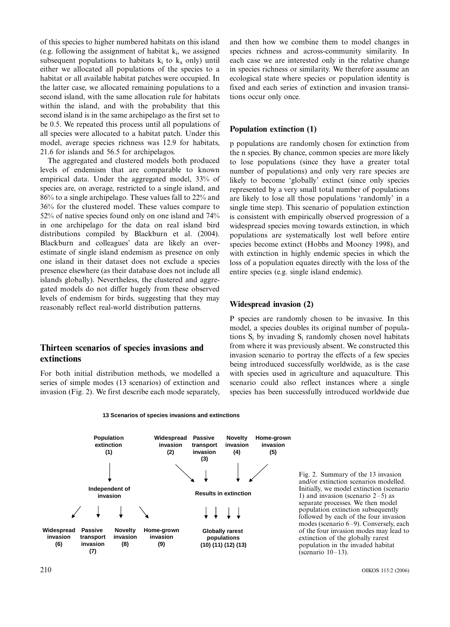of this species to higher numbered habitats on this island (e.g. following the assignment of habitat  $k_i$ , we assigned subsequent populations to habitats  $k_i$  to  $k_x$  only) until either we allocated all populations of the species to a habitat or all available habitat patches were occupied. In the latter case, we allocated remaining populations to a second island, with the same allocation rule for habitats within the island, and with the probability that this second island is in the same archipelago as the first set to be 0.5. We repeated this process until all populations of all species were allocated to a habitat patch. Under this model, average species richness was 12.9 for habitats, 21.6 for islands and 56.5 for archipelagos.

The aggregated and clustered models both produced levels of endemism that are comparable to known empirical data. Under the aggregated model, 33% of species are, on average, restricted to a single island, and 86% to a single archipelago. These values fall to 22% and 36% for the clustered model. These values compare to 52% of native species found only on one island and 74% in one archipelago for the data on real island bird distributions compiled by Blackburn et al. (2004). Blackburn and colleagues' data are likely an overestimate of single island endemism as presence on only one island in their dataset does not exclude a species presence elsewhere (as their database does not include all islands globally). Nevertheless, the clustered and aggregated models do not differ hugely from these observed levels of endemism for birds, suggesting that they may reasonably reflect real-world distribution patterns.

# Thirteen scenarios of species invasions and extinctions

For both initial distribution methods, we modelled a series of simple modes (13 scenarios) of extinction and invasion (Fig. 2). We first describe each mode separately, and then how we combine them to model changes in species richness and across-community similarity. In each case we are interested only in the relative change in species richness or similarity. We therefore assume an ecological state where species or population identity is fixed and each series of extinction and invasion transitions occur only once.

### Population extinction (1)

p populations are randomly chosen for extinction from the n species. By chance, common species are more likely to lose populations (since they have a greater total number of populations) and only very rare species are likely to become 'globally' extinct (since only species represented by a very small total number of populations are likely to lose all those populations 'randomly' in a single time step). This scenario of population extinction is consistent with empirically observed progression of a widespread species moving towards extinction, in which populations are systematically lost well before entire species become extinct (Hobbs and Mooney 1998), and with extinction in highly endemic species in which the loss of a population equates directly with the loss of the entire species (e.g. single island endemic).

### Widespread invasion (2)

P species are randomly chosen to be invasive. In this model, a species doubles its original number of populations  $S_i$  by invading  $S_i$  randomly chosen novel habitats from where it was previously absent. We constructed this invasion scenario to portray the effects of a few species being introduced successfully worldwide, as is the case with species used in agriculture and aquaculture. This scenario could also reflect instances where a single species has been successfully introduced worldwide due





Fig. 2. Summary of the 13 invasion and/or extinction scenarios modelled. Initially, we model extinction (scenario 1) and invasion (scenario  $2-5$ ) as separate processes. We then model population extinction subsequently followed by each of the four invasion modes (scenario 6-9). Conversely, each of the four invasion modes may lead to extinction of the globally rarest population in the invaded habitat (scenario  $10-13$ ).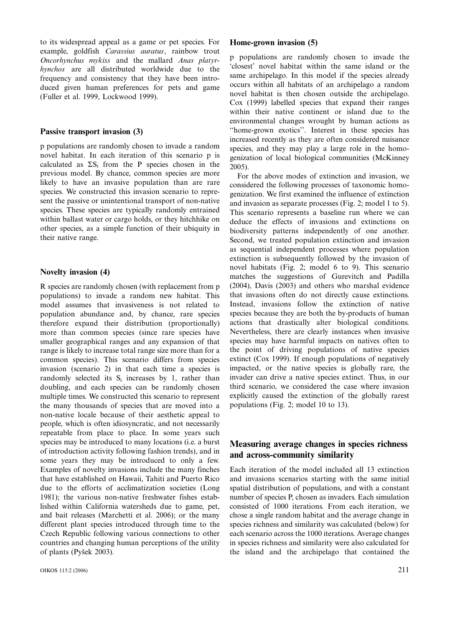to its widespread appeal as a game or pet species. For example, goldfish Carassius auratus, rainbow trout Oncorhynchus mykiss and the mallard Anas platyrhynchos are all distributed worldwide due to the frequency and consistency that they have been introduced given human preferences for pets and game (Fuller et al. 1999, Lockwood 1999).

#### Passive transport invasion (3)

p populations are randomly chosen to invade a random novel habitat. In each iteration of this scenario p is calculated as  $\Sigma S_i$  from the P species chosen in the previous model. By chance, common species are more likely to have an invasive population than are rare species. We constructed this invasion scenario to represent the passive or unintentional transport of non-native species. These species are typically randomly entrained within ballast water or cargo holds, or they hitchhike on other species, as a simple function of their ubiquity in their native range.

### Novelty invasion (4)

R species are randomly chosen (with replacement from p populations) to invade a random new habitat. This model assumes that invasiveness is not related to population abundance and, by chance, rare species therefore expand their distribution (proportionally) more than common species (since rare species have smaller geographical ranges and any expansion of that range is likely to increase total range size more than for a common species). This scenario differs from species invasion (scenario 2) in that each time a species is randomly selected its  $S_i$  increases by 1, rather than doubling, and each species can be randomly chosen multiple times. We constructed this scenario to represent the many thousands of species that are moved into a non-native locale because of their aesthetic appeal to people, which is often idiosyncratic, and not necessarily repeatable from place to place. In some years such species may be introduced to many locations (i.e. a burst of introduction activity following fashion trends), and in some years they may be introduced to only a few. Examples of novelty invasions include the many finches that have established on Hawaii, Tahiti and Puerto Rico due to the efforts of acclimatization societies (Long 1981); the various non-native freshwater fishes established within California watersheds due to game, pet, and bait releases (Marchetti et al. 2006); or the many different plant species introduced through time to the Czech Republic following various connections to other countries and changing human perceptions of the utility of plants (Pyšek 2003).

#### Home-grown invasion (5)

p populations are randomly chosen to invade the 'closest' novel habitat within the same island or the same archipelago. In this model if the species already occurs within all habitats of an archipelago a random novel habitat is then chosen outside the archipelago. Cox (1999) labelled species that expand their ranges within their native continent or island due to the environmental changes wrought by human actions as ''home-grown exotics''. Interest in these species has increased recently as they are often considered nuisance species, and they may play a large role in the homogenization of local biological communities (McKinney 2005).

For the above modes of extinction and invasion, we considered the following processes of taxonomic homogenization. We first examined the influence of extinction and invasion as separate processes (Fig. 2; model 1 to 5). This scenario represents a baseline run where we can deduce the effects of invasions and extinctions on biodiversity patterns independently of one another. Second, we treated population extinction and invasion as sequential independent processes where population extinction is subsequently followed by the invasion of novel habitats (Fig. 2; model 6 to 9). This scenario matches the suggestions of Gurevitch and Padilla (2004), Davis (2003) and others who marshal evidence that invasions often do not directly cause extinctions. Instead, invasions follow the extinction of native species because they are both the by-products of human actions that drastically alter biological conditions. Nevertheless, there are clearly instances when invasive species may have harmful impacts on natives often to the point of driving populations of native species extinct (Cox 1999). If enough populations of negatively impacted, or the native species is globally rare, the invader can drive a native species extinct. Thus, in our third scenario, we considered the case where invasion explicitly caused the extinction of the globally rarest populations (Fig. 2; model 10 to 13).

# Measuring average changes in species richness and across-community similarity

Each iteration of the model included all 13 extinction and invasions scenarios starting with the same initial spatial distribution of populations, and with a constant number of species P, chosen as invaders. Each simulation consisted of 1000 iterations. From each iteration, we chose a single random habitat and the average change in species richness and similarity was calculated (below) for each scenario across the 1000 iterations. Average changes in species richness and similarity were also calculated for the island and the archipelago that contained the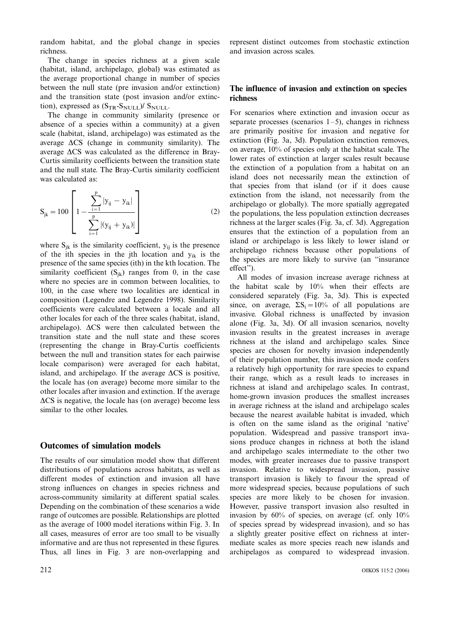random habitat, and the global change in species richness.

The change in species richness at a given scale (habitat, island, archipelago, global) was estimated as the average proportional change in number of species between the null state (pre invasion and/or extinction) and the transition state (post invasion and/or extinction), expressed as  $(S_{TR}-S_{NULL})/S_{NULL}$ .

The change in community similarity (presence or absence of a species within a community) at a given scale (habitat, island, archipelago) was estimated as the average  $\Delta CS$  (change in community similarity). The average  $\Delta CS$  was calculated as the difference in Bray-Curtis similarity coefficients between the transition state and the null state. The Bray-Curtis similarity coefficient was calculated as:

$$
S_{jk} = 100 \left[ 1 - \frac{\sum_{i=1}^{p} |y_{ij} - y_{ik}|}{\sum_{i=1}^{p} |(y_{ij} + y_{ik})|} \right]
$$
 (2)

where  $S_{jk}$  is the similarity coefficient,  $y_{ij}$  is the presence of the ith species in the jth location and  $y_{ik}$  is the presence of the same species (ith) in the kth location. The similarity coefficient  $(S_{ik})$  ranges from 0, in the case where no species are in common between localities, to 100, in the case where two localities are identical in composition (Legendre and Legendre 1998). Similarity coefficients were calculated between a locale and all other locales for each of the three scales (habitat, island, archipelago).  $\Delta CS$  were then calculated between the transition state and the null state and these scores (representing the change in Bray-Curtis coefficients between the null and transition states for each pairwise locale comparison) were averaged for each habitat, island, and archipelago. If the average  $\Delta CS$  is positive, the locale has (on average) become more similar to the other locales after invasion and extinction. If the average  $\Delta CS$  is negative, the locale has (on average) become less similar to the other locales.

## Outcomes of simulation models

The results of our simulation model show that different distributions of populations across habitats, as well as different modes of extinction and invasion all have strong influences on changes in species richness and across-community similarity at different spatial scales. Depending on the combination of these scenarios a wide range of outcomes are possible. Relationships are plotted as the average of 1000 model iterations within Fig. 3. In all cases, measures of error are too small to be visually informative and are thus not represented in these figures. Thus, all lines in Fig. 3 are non-overlapping and represent distinct outcomes from stochastic extinction and invasion across scales.

# The influence of invasion and extinction on species richness

For scenarios where extinction and invasion occur as separate processes (scenarios  $1-5$ ), changes in richness are primarily positive for invasion and negative for extinction (Fig. 3a, 3d). Population extinction removes, on average, 10% of species only at the habitat scale. The lower rates of extinction at larger scales result because the extinction of a population from a habitat on an island does not necessarily mean the extinction of that species from that island (or if it does cause extinction from the island, not necessarily from the archipelago or globally). The more spatially aggregated the populations, the less population extinction decreases richness at the larger scales (Fig. 3a, cf. 3d). Aggregation ensures that the extinction of a population from an island or archipelago is less likely to lower island or archipelago richness because other populations of the species are more likely to survive (an ''insurance effect'').

All modes of invasion increase average richness at the habitat scale by 10% when their effects are considered separately (Fig. 3a, 3d). This is expected since, on average,  $\Sigma S_i = 10\%$  of all populations are invasive. Global richness is unaffected by invasion alone (Fig. 3a, 3d). Of all invasion scenarios, novelty invasion results in the greatest increases in average richness at the island and archipelago scales. Since species are chosen for novelty invasion independently of their population number, this invasion mode confers a relatively high opportunity for rare species to expand their range, which as a result leads to increases in richness at island and archipelago scales. In contrast, home-grown invasion produces the smallest increases in average richness at the island and archipelago scales because the nearest available habitat is invaded, which is often on the same island as the original 'native' population. Widespread and passive transport invasions produce changes in richness at both the island and archipelago scales intermediate to the other two modes, with greater increases due to passive transport invasion. Relative to widespread invasion, passive transport invasion is likely to favour the spread of more widespread species, because populations of such species are more likely to be chosen for invasion. However, passive transport invasion also resulted in invasion by 60% of species, on average (cf. only 10% of species spread by widespread invasion), and so has a slightly greater positive effect on richness at intermediate scales as more species reach new islands and archipelagos as compared to widespread invasion.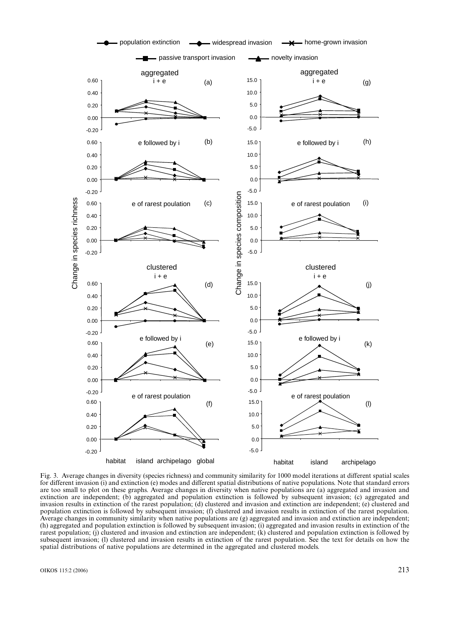

Fig. 3. Average changes in diversity (species richness) and community similarity for 1000 model iterations at different spatial scales for different invasion (i) and extinction (e) modes and different spatial distributions of native populations. Note that standard errors are too small to plot on these graphs. Average changes in diversity when native populations are (a) aggregated and invasion and extinction are independent; (b) aggregated and population extinction is followed by subsequent invasion; (c) aggregated and invasion results in extinction of the rarest population; (d) clustered and invasion and extinction are independent; (e) clustered and population extinction is followed by subsequent invasion; (f) clustered and invasion results in extinction of the rarest population. Average changes in community similarity when native populations are (g) aggregated and invasion and extinction are independent; (h) aggregated and population extinction is followed by subsequent invasion; (i) aggregated and invasion results in extinction of the rarest population; (j) clustered and invasion and extinction are independent; (k) clustered and population extinction is followed by subsequent invasion; (l) clustered and invasion results in extinction of the rarest population. See the text for details on how the spatial distributions of native populations are determined in the aggregated and clustered models.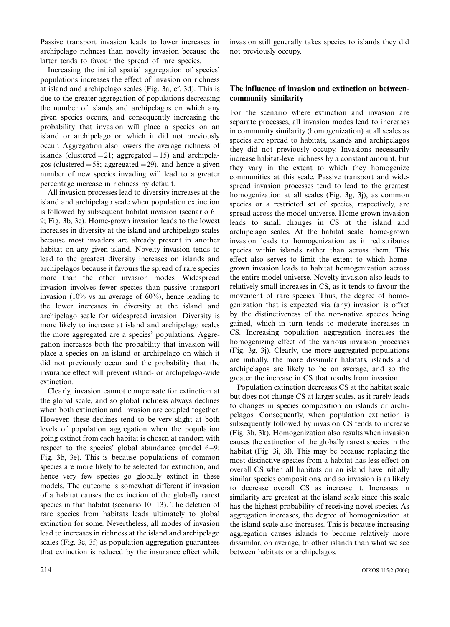Passive transport invasion leads to lower increases in archipelago richness than novelty invasion because the latter tends to favour the spread of rare species.

Increasing the initial spatial aggregation of species' populations increases the effect of invasion on richness at island and archipelago scales (Fig. 3a, cf. 3d). This is due to the greater aggregation of populations decreasing the number of islands and archipelagos on which any given species occurs, and consequently increasing the probability that invasion will place a species on an island or archipelago on which it did not previously occur. Aggregation also lowers the average richness of islands (clustered  $= 21$ ; aggregated  $= 15$ ) and archipelagos (clustered  $= 58$ ; aggregated  $= 29$ ), and hence a given number of new species invading will lead to a greater percentage increase in richness by default.

All invasion processes lead to diversity increases at the island and archipelago scale when population extinction is followed by subsequent habitat invasion (scenario 6 9; Fig. 3b, 3e). Home-grown invasion leads to the lowest increases in diversity at the island and archipelago scales because most invaders are already present in another habitat on any given island. Novelty invasion tends to lead to the greatest diversity increases on islands and archipelagos because it favours the spread of rare species more than the other invasion modes. Widespread invasion involves fewer species than passive transport invasion (10% vs an average of 60%), hence leading to the lower increases in diversity at the island and archipelago scale for widespread invasion. Diversity is more likely to increase at island and archipelago scales the more aggregated are a species' populations. Aggregation increases both the probability that invasion will place a species on an island or archipelago on which it did not previously occur and the probability that the insurance effect will prevent island- or archipelago-wide extinction.

Clearly, invasion cannot compensate for extinction at the global scale, and so global richness always declines when both extinction and invasion are coupled together. However, these declines tend to be very slight at both levels of population aggregation when the population going extinct from each habitat is chosen at random with respect to the species' global abundance (model  $6-9$ ; Fig. 3b, 3e). This is because populations of common species are more likely to be selected for extinction, and hence very few species go globally extinct in these models. The outcome is somewhat different if invasion of a habitat causes the extinction of the globally rarest species in that habitat (scenario  $10-13$ ). The deletion of rare species from habitats leads ultimately to global extinction for some. Nevertheless, all modes of invasion lead to increases in richness at the island and archipelago scales (Fig. 3c, 3f) as population aggregation guarantees that extinction is reduced by the insurance effect while invasion still generally takes species to islands they did not previously occupy.

# The influence of invasion and extinction on betweencommunity similarity

For the scenario where extinction and invasion are separate processes, all invasion modes lead to increases in community similarity (homogenization) at all scales as species are spread to habitats, islands and archipelagos they did not previously occupy. Invasions necessarily increase habitat-level richness by a constant amount, but they vary in the extent to which they homogenize communities at this scale. Passive transport and widespread invasion processes tend to lead to the greatest homogenization at all scales (Fig. 3g, 3j), as common species or a restricted set of species, respectively, are spread across the model universe. Home-grown invasion leads to small changes in CS at the island and archipelago scales. At the habitat scale, home-grown invasion leads to homogenization as it redistributes species within islands rather than across them. This effect also serves to limit the extent to which homegrown invasion leads to habitat homogenization across the entire model universe. Novelty invasion also leads to relatively small increases in CS, as it tends to favour the movement of rare species. Thus, the degree of homogenization that is expected via (any) invasion is offset by the distinctiveness of the non-native species being gained, which in turn tends to moderate increases in CS. Increasing population aggregation increases the homogenizing effect of the various invasion processes (Fig. 3g, 3j). Clearly, the more aggregated populations are initially, the more dissimilar habitats, islands and archipelagos are likely to be on average, and so the greater the increase in CS that results from invasion.

Population extinction decreases CS at the habitat scale but does not change CS at larger scales, as it rarely leads to changes in species composition on islands or archipelagos. Consequently, when population extinction is subsequently followed by invasion CS tends to increase (Fig. 3h, 3k). Homogenization also results when invasion causes the extinction of the globally rarest species in the habitat (Fig. 3i, 3l). This may be because replacing the most distinctive species from a habitat has less effect on overall CS when all habitats on an island have initially similar species compositions, and so invasion is as likely to decrease overall CS as increase it. Increases in similarity are greatest at the island scale since this scale has the highest probability of receiving novel species. As aggregation increases, the degree of homogenization at the island scale also increases. This is because increasing aggregation causes islands to become relatively more dissimilar, on average, to other islands than what we see between habitats or archipelagos.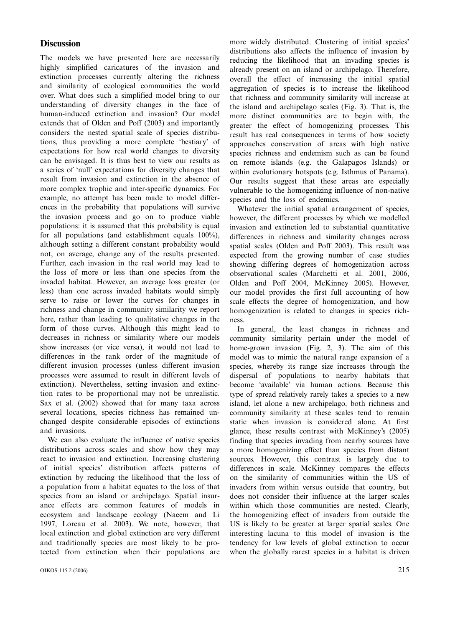### **Discussion**

The models we have presented here are necessarily highly simplified caricatures of the invasion and extinction processes currently altering the richness and similarity of ecological communities the world over. What does such a simplified model bring to our understanding of diversity changes in the face of human-induced extinction and invasion? Our model extends that of Olden and Poff (2003) and importantly considers the nested spatial scale of species distributions, thus providing a more complete 'bestiary' of expectations for how real world changes to diversity can be envisaged. It is thus best to view our results as a series of 'null' expectations for diversity changes that result from invasion and extinction in the absence of more complex trophic and inter-specific dynamics. For example, no attempt has been made to model differences in the probability that populations will survive the invasion process and go on to produce viable populations: it is assumed that this probability is equal for all populations (and establishment equals 100%), although setting a different constant probability would not, on average, change any of the results presented. Further, each invasion in the real world may lead to the loss of more or less than one species from the invaded habitat. However, an average loss greater (or less) than one across invaded habitats would simply serve to raise or lower the curves for changes in richness and change in community similarity we report here, rather than leading to qualitative changes in the form of those curves. Although this might lead to decreases in richness or similarity where our models show increases (or vice versa), it would not lead to differences in the rank order of the magnitude of different invasion processes (unless different invasion processes were assumed to result in different levels of extinction). Nevertheless, setting invasion and extinction rates to be proportional may not be unrealistic. Sax et al. (2002) showed that for many taxa across several locations, species richness has remained unchanged despite considerable episodes of extinctions and invasions.

We can also evaluate the influence of native species distributions across scales and show how they may react to invasion and extinction. Increasing clustering of initial species' distribution affects patterns of extinction by reducing the likelihood that the loss of a population from a habitat equates to the loss of that species from an island or archipelago. Spatial insurance effects are common features of models in ecosystem and landscape ecology (Naeem and Li 1997, Loreau et al. 2003). We note, however, that local extinction and global extinction are very different and traditionally species are most likely to be protected from extinction when their populations are more widely distributed. Clustering of initial species' distributions also affects the influence of invasion by reducing the likelihood that an invading species is already present on an island or archipelago. Therefore, overall the effect of increasing the initial spatial aggregation of species is to increase the likelihood that richness and community similarity will increase at the island and archipelago scales (Fig. 3). That is, the more distinct communities are to begin with, the greater the effect of homogenizing processes. This result has real consequences in terms of how society approaches conservation of areas with high native species richness and endemism such as can be found on remote islands (e.g. the Galapagos Islands) or within evolutionary hotspots (e.g. Isthmus of Panama). Our results suggest that these areas are especially vulnerable to the homogenizing influence of non-native species and the loss of endemics.

Whatever the initial spatial arrangement of species, however, the different processes by which we modelled invasion and extinction led to substantial quantitative differences in richness and similarity changes across spatial scales (Olden and Poff 2003). This result was expected from the growing number of case studies showing differing degrees of homogenization across observational scales (Marchetti et al. 2001, 2006, Olden and Poff 2004, McKinney 2005). However, our model provides the first full accounting of how scale effects the degree of homogenization, and how homogenization is related to changes in species richness.

In general, the least changes in richness and community similarity pertain under the model of home-grown invasion (Fig. 2, 3). The aim of this model was to mimic the natural range expansion of a species, whereby its range size increases through the dispersal of populations to nearby habitats that become 'available' via human actions. Because this type of spread relatively rarely takes a species to a new island, let alone a new archipelago, both richness and community similarity at these scales tend to remain static when invasion is considered alone. At first glance, these results contrast with McKinney's (2005) finding that species invading from nearby sources have a more homogenizing effect than species from distant sources. However, this contrast is largely due to differences in scale. McKinney compares the effects on the similarity of communities within the US of invaders from within versus outside that country, but does not consider their influence at the larger scales within which those communities are nested. Clearly, the homogenizing effect of invaders from outside the US is likely to be greater at larger spatial scales. One interesting lacuna to this model of invasion is the tendency for low levels of global extinction to occur when the globally rarest species in a habitat is driven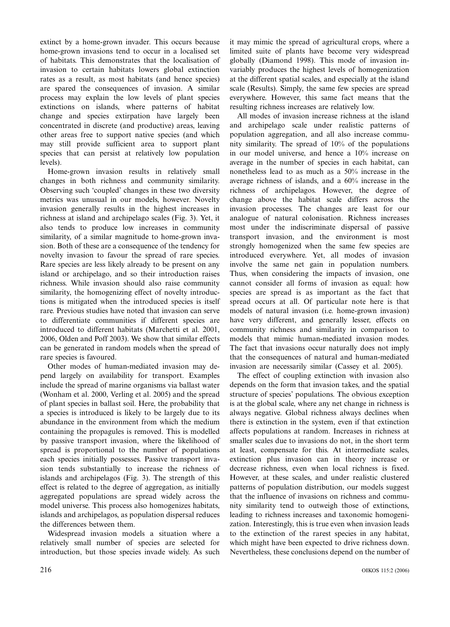extinct by a home-grown invader. This occurs because home-grown invasions tend to occur in a localised set of habitats. This demonstrates that the localisation of invasion to certain habitats lowers global extinction rates as a result, as most habitats (and hence species) are spared the consequences of invasion. A similar process may explain the low levels of plant species extinctions on islands, where patterns of habitat change and species extirpation have largely been concentrated in discrete (and productive) areas, leaving other areas free to support native species (and which may still provide sufficient area to support plant species that can persist at relatively low population levels).

Home-grown invasion results in relatively small changes in both richness and community similarity. Observing such 'coupled' changes in these two diversity metrics was unusual in our models, however. Novelty invasion generally results in the highest increases in richness at island and archipelago scales (Fig. 3). Yet, it also tends to produce low increases in community similarity, of a similar magnitude to home-grown invasion. Both of these are a consequence of the tendency for novelty invasion to favour the spread of rare species. Rare species are less likely already to be present on any island or archipelago, and so their introduction raises richness. While invasion should also raise community similarity, the homogenizing effect of novelty introductions is mitigated when the introduced species is itself rare. Previous studies have noted that invasion can serve to differentiate communities if different species are introduced to different habitats (Marchetti et al. 2001, 2006, Olden and Poff 2003). We show that similar effects can be generated in random models when the spread of rare species is favoured.

Other modes of human-mediated invasion may depend largely on availability for transport. Examples include the spread of marine organisms via ballast water (Wonham et al. 2000, Verling et al. 2005) and the spread of plant species in ballast soil. Here, the probability that a species is introduced is likely to be largely due to its abundance in the environment from which the medium containing the propagules is removed. This is modelled by passive transport invasion, where the likelihood of spread is proportional to the number of populations each species initially possesses. Passive transport invasion tends substantially to increase the richness of islands and archipelagos (Fig. 3). The strength of this effect is related to the degree of aggregation, as initially aggregated populations are spread widely across the model universe. This process also homogenizes habitats, islands and archipelagos, as population dispersal reduces the differences between them.

Widespread invasion models a situation where a relatively small number of species are selected for introduction, but those species invade widely. As such it may mimic the spread of agricultural crops, where a limited suite of plants have become very widespread globally (Diamond 1998). This mode of invasion invariably produces the highest levels of homogenization at the different spatial scales, and especially at the island scale (Results). Simply, the same few species are spread everywhere. However, this same fact means that the resulting richness increases are relatively low.

All modes of invasion increase richness at the island and archipelago scale under realistic patterns of population aggregation, and all also increase community similarity. The spread of 10% of the populations in our model universe, and hence a 10% increase on average in the number of species in each habitat, can nonetheless lead to as much as a 50% increase in the average richness of islands, and a 60% increase in the richness of archipelagos. However, the degree of change above the habitat scale differs across the invasion processes. The changes are least for our analogue of natural colonisation. Richness increases most under the indiscriminate dispersal of passive transport invasion, and the environment is most strongly homogenized when the same few species are introduced everywhere. Yet, all modes of invasion involve the same net gain in population numbers. Thus, when considering the impacts of invasion, one cannot consider all forms of invasion as equal: how species are spread is as important as the fact that spread occurs at all. Of particular note here is that models of natural invasion (i.e. home-grown invasion) have very different, and generally lesser, effects on community richness and similarity in comparison to models that mimic human-mediated invasion modes. The fact that invasions occur naturally does not imply that the consequences of natural and human-mediated invasion are necessarily similar (Cassey et al. 2005).

The effect of coupling extinction with invasion also depends on the form that invasion takes, and the spatial structure of species' populations. The obvious exception is at the global scale, where any net change in richness is always negative. Global richness always declines when there is extinction in the system, even if that extinction affects populations at random. Increases in richness at smaller scales due to invasions do not, in the short term at least, compensate for this. At intermediate scales, extinction plus invasion can in theory increase or decrease richness, even when local richness is fixed. However, at these scales, and under realistic clustered patterns of population distribution, our models suggest that the influence of invasions on richness and community similarity tend to outweigh those of extinctions, leading to richness increases and taxonomic homogenization. Interestingly, this is true even when invasion leads to the extinction of the rarest species in any habitat, which might have been expected to drive richness down. Nevertheless, these conclusions depend on the number of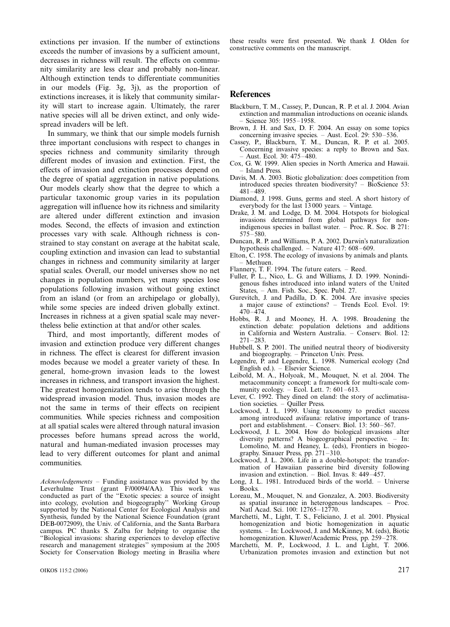extinctions per invasion. If the number of extinctions exceeds the number of invasions by a sufficient amount, decreases in richness will result. The effects on community similarity are less clear and probably non-linear. Although extinction tends to differentiate communities in our models (Fig. 3g, 3j), as the proportion of extinctions increases, it is likely that community similarity will start to increase again. Ultimately, the rarer native species will all be driven extinct, and only widespread invaders will be left.

In summary, we think that our simple models furnish three important conclusions with respect to changes in species richness and community similarity through different modes of invasion and extinction. First, the effects of invasion and extinction processes depend on the degree of spatial aggregation in native populations. Our models clearly show that the degree to which a particular taxonomic group varies in its population aggregation will influence how its richness and similarity are altered under different extinction and invasion modes. Second, the effects of invasion and extinction processes vary with scale. Although richness is constrained to stay constant on average at the habitat scale, coupling extinction and invasion can lead to substantial changes in richness and community similarity at larger spatial scales. Overall, our model universes show no net changes in population numbers, yet many species lose populations following invasion without going extinct from an island (or from an archipelago or globally), while some species are indeed driven globally extinct. Increases in richness at a given spatial scale may nevertheless belie extinction at that and/or other scales.

Third, and most importantly, different modes of invasion and extinction produce very different changes in richness. The effect is clearest for different invasion modes because we model a greater variety of these. In general, home-grown invasion leads to the lowest increases in richness, and transport invasion the highest. The greatest homogenization tends to arise through the widespread invasion model. Thus, invasion modes are not the same in terms of their effects on recipient communities. While species richness and composition at all spatial scales were altered through natural invasion processes before humans spread across the world, natural and human-mediated invasion processes may lead to very different outcomes for plant and animal communities.

Acknowledgements - Funding assistance was provided by the Leverhulme Trust (grant F/00094/AA). This work was conducted as part of the ''Exotic species: a source of insight into ecology, evolution and biogeography'' Working Group supported by the National Center for Ecological Analysis and Synthesis, funded by the National Science Foundation (grant DEB-0072909), the Univ. of California, and the Santa Barbara campus. PC thanks S. Zalba for helping to organise the ''Biological invasions: sharing experiences to develop effective research and management strategies'' symposium at the 2005 Society for Conservation Biology meeting in Brasilia where

these results were first presented. We thank J. Olden for constructive comments on the manuscript.

### **References**

- Blackburn, T. M., Cassey, P., Duncan, R. P. et al. J. 2004. Avian extinction and mammalian introductions on oceanic islands. Science 305: 1955-1958.
- Brown, J. H. and Sax, D. F. 2004. An essay on some topics concerning invasive species.  $-$  Aust. Ecol. 29: 530-536.
- Cassey, P., Blackburn, T. M., Duncan, R. P. et al. 2005. Concerning invasive species: a reply to Brown and Sax.  $-$  Aust. Ecol. 30: 475 $-480$ .
- Cox, G. W. 1999. Alien species in North America and Hawaii. Island Press.
- Davis, M. A. 2003. Biotic globalization: does competition from introduced species threaten biodiversity? – BioScience 53: 481-489.
- Diamond, J. 1998. Guns, germs and steel. A short history of everybody for the last  $13000$  years. - Vintage.
- Drake, J. M. and Lodge, D. M. 2004. Hotspots for biological invasions determined from global pathways for nonindigenous species in ballast water.  $-$  Proc. R. Soc. B 271:  $575 - 580.$
- Duncan, R. P. and Williams, P. A. 2002. Darwin's naturalization hypothesis challenged.  $-$  Nature 417: 608-609.
- Elton, C. 1958. The ecology of invasions by animals and plants. Methuen.
- Flannery, T. F. 1994. The future eaters. Reed.
- Fuller, P. L., Nico, L. G. and Williams, J. D. 1999. Nonindigenous fishes introduced into inland waters of the United States, - Am. Fish. Soc., Spec. Publ. 27.
- Gurevitch, J. and Padilla, D. K. 2004. Are invasive species a major cause of extinctions? – Trends Ecol. Evol. 19:  $470 - 474$
- Hobbs, R. J. and Mooney, H. A. 1998. Broadening the extinction debate: population deletions and additions in California and Western Australia. Conserv. Biol. 12:  $271 - 283$ .
- Hubbell, S. P. 2001. The unified neutral theory of biodiversity and biogeography. – Princeton Univ. Press.
- Legendre, P. and Legendre, L. 1998. Numerical ecology (2nd English ed.). Elsevier Science.
- Leibold, M. A., Holyoak, M., Mouquet, N. et al. 2004. The metacommunity concept: a framework for multi-scale community ecology.  $-$  Ecol. Lett. 7: 601-613.
- Lever, C. 1992. They dined on eland: the story of acclimatisation societies. - Quiller Press.
- Lockwood, J. L. 1999. Using taxonomy to predict success among introduced avifauna: relative importance of transport and establishment.  $-$  Conserv. Biol. 13: 560 $-567$ .
- Lockwood, J. L. 2004. How do biological invasions alter diversity patterns? A biogeographical perspective. - In: Lomolino, M. and Heaney, L. (eds), Frontiers in biogeography. Sinauer Press, pp.  $271-310$ .
- Lockwood, J. L. 2006. Life in a double-hotspot: the transformation of Hawaiian passerine bird diversity following invasion and extinction.  $-$  Biol. Invas. 8: 449–457.
- Long, J. L. 1981. Introduced birds of the world.  $-$  Universe Books.
- Loreau, M., Mouquet, N. and Gonzalez, A. 2003. Biodiversity as spatial insurance in heterogenous landscapes. - Proc. Natl Acad. Sci. 100: 12765-12770.
- Marchetti, M., Light, T. S., Feliciano, J. et al. 2001. Physical homogenization and biotic homogenization in aquatic systems. – In: Lockwood, J. and McKinney, M. (eds), Biotic homogenization. Kluwer/Academic Press, pp. 259-278.
- Marchetti, M. P., Lockwood, J. L. and Light, T. 2006. Urbanization promotes invasion and extinction but not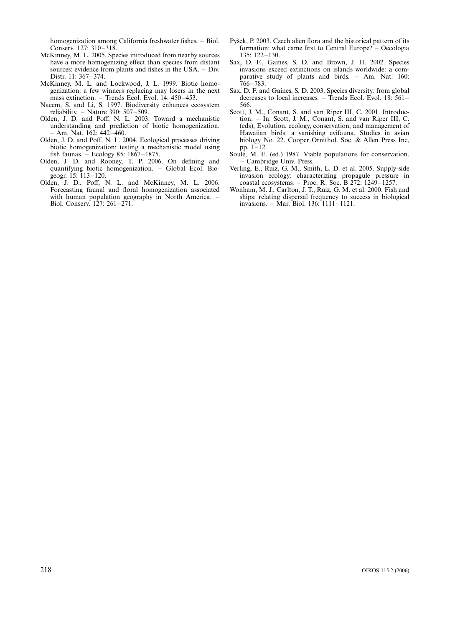homogenization among California freshwater fishes. - Biol. Conserv. 127: 310-318.

- McKinney, M. L. 2005. Species introduced from nearby sources have a more homogenizing effect than species from distant sources: evidence from plants and fishes in the USA. – Div. Distr. 11: 367-374.
- McKinney, M. L. and Lockwood, J. L. 1999. Biotic homogenization: a few winners replacing may losers in the next mass extinction.  $-$  Trends Ecol. Evol. 14: 450-453.
- Naeem, S. and Li, S. 1997. Biodiversity enhances ecosystem reliability.  $-$  Nature 390: 507-509.
- Olden, J. D. and Poff, N. L. 2003. Toward a mechanistic understanding and prediction of biotic homogenization.  $-$  Am. Nat. 162: 442 $-$ 460.
- Olden, J. D. and Poff, N. L. 2004. Ecological processes driving biotic homogenization: testing a mechanistic model using fish faunas.  $-$  Ecology 85: 1867–1875.
- Olden, J. D. and Rooney, T. P. 2006. On defining and quantifying biotic homogenization. Global Ecol. Biogeogr.  $15: 113-120$ .
- Olden, J. D., Poff, N. L. and McKinney, M. L. 2006. Forecasting faunal and floral homogenization associated with human population geography in North America. Biol. Conserv. 127: 261-271.
- Pyšek, P. 2003. Czech alien flora and the historical pattern of its formation: what came first to Central Europe?  $-$  Oecologia  $135: 122 - 130.$
- Sax, D. F., Gaines, S. D. and Brown, J. H. 2002. Species invasions exceed extinctions on islands worldwide: a comparative study of plants and birds. - Am. Nat. 160:  $766 - 783$
- Sax, D. F. and Gaines, S. D. 2003. Species diversity: from global decreases to local increases.  $-$  Trends Ecol. Evol. 18: 561– 566.
- Scott, J. M., Conant, S. and van Riper III, C. 2001. Introduction. – In: Scott, J. M., Conant, S. and van Riper III, C. (eds), Evolution, ecology, conservation, and management of Hawaiian birds: a vanishing avifauna. Studies in avian biology No. 22. Cooper Ornithol. Soc. & Allen Press Inc, pp.  $1 - 12$ .
- Soulé, M. E. (ed.) 1987. Viable populations for conservation. - Cambridge Univ. Press.
- Verling, E., Ruiz, G. M., Smith, L. D. et al. 2005. Supply-side invasion ecology: characterizing propagule pressure in coastal ecosystems. – Proc. R. Soc. B  $272$ : 1249–1257.
- Wonham, M. J., Carlton, J. T., Ruiz, G. M. et al. 2000. Fish and ships: relating dispersal frequency to success in biological invasions. - Mar. Biol. 136:  $1111 - 1121$ .